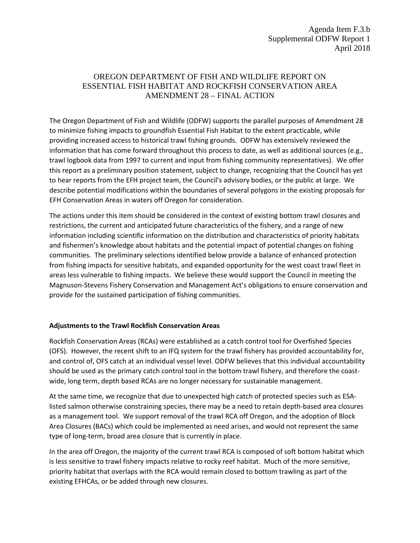## OREGON DEPARTMENT OF FISH AND WILDLIFE REPORT ON ESSENTIAL FISH HABITAT AND ROCKFISH CONSERVATION AREA AMENDMENT 28 – FINAL ACTION

The Oregon Department of Fish and Wildlife (ODFW) supports the parallel purposes of Amendment 28 to minimize fishing impacts to groundfish Essential Fish Habitat to the extent practicable, while providing increased access to historical trawl fishing grounds. ODFW has extensively reviewed the information that has come forward throughout this process to date, as well as additional sources (e.g., trawl logbook data from 1997 to current and input from fishing community representatives). We offer this report as a preliminary position statement, subject to change, recognizing that the Council has yet to hear reports from the EFH project team, the Council's advisory bodies, or the public at large. We describe potential modifications within the boundaries of several polygons in the existing proposals for EFH Conservation Areas in waters off Oregon for consideration.

The actions under this item should be considered in the context of existing bottom trawl closures and restrictions, the current and anticipated future characteristics of the fishery, and a range of new information including scientific information on the distribution and characteristics of priority habitats and fishermen's knowledge about habitats and the potential impact of potential changes on fishing communities. The preliminary selections identified below provide a balance of enhanced protection from fishing impacts for sensitive habitats, and expanded opportunity for the west coast trawl fleet in areas less vulnerable to fishing impacts. We believe these would support the Council in meeting the Magnuson-Stevens Fishery Conservation and Management Act's obligations to ensure conservation and provide for the sustained participation of fishing communities.

## **Adjustments to the Trawl Rockfish Conservation Areas**

Rockfish Conservation Areas (RCAs) were established as a catch control tool for Overfished Species (OFS). However, the recent shift to an IFQ system for the trawl fishery has provided accountability for, and control of, OFS catch at an individual vessel level. ODFW believes that this individual accountability should be used as the primary catch control tool in the bottom trawl fishery, and therefore the coastwide, long term, depth based RCAs are no longer necessary for sustainable management.

At the same time, we recognize that due to unexpected high catch of protected species such as ESAlisted salmon otherwise constraining species, there may be a need to retain depth-based area closures as a management tool. We support removal of the trawl RCA off Oregon, and the adoption of Block Area Closures (BACs) which could be implemented as need arises, and would not represent the same type of long-term, broad area closure that is currently in place.

In the area off Oregon, the majority of the current trawl RCA is composed of soft bottom habitat which is less sensitive to trawl fishery impacts relative to rocky reef habitat. Much of the more sensitive, priority habitat that overlaps with the RCA would remain closed to bottom trawling as part of the existing EFHCAs, or be added through new closures.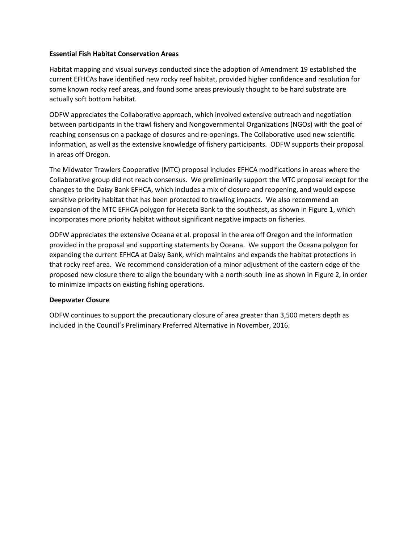## **Essential Fish Habitat Conservation Areas**

Habitat mapping and visual surveys conducted since the adoption of Amendment 19 established the current EFHCAs have identified new rocky reef habitat, provided higher confidence and resolution for some known rocky reef areas, and found some areas previously thought to be hard substrate are actually soft bottom habitat.

ODFW appreciates the Collaborative approach, which involved extensive outreach and negotiation between participants in the trawl fishery and Nongovernmental Organizations (NGOs) with the goal of reaching consensus on a package of closures and re-openings. The Collaborative used new scientific information, as well as the extensive knowledge of fishery participants. ODFW supports their proposal in areas off Oregon.

The Midwater Trawlers Cooperative (MTC) proposal includes EFHCA modifications in areas where the Collaborative group did not reach consensus. We preliminarily support the MTC proposal except for the changes to the Daisy Bank EFHCA, which includes a mix of closure and reopening, and would expose sensitive priority habitat that has been protected to trawling impacts. We also recommend an expansion of the MTC EFHCA polygon for Heceta Bank to the southeast, as shown in Figure 1, which incorporates more priority habitat without significant negative impacts on fisheries.

ODFW appreciates the extensive Oceana et al. proposal in the area off Oregon and the information provided in the proposal and supporting statements by Oceana. We support the Oceana polygon for expanding the current EFHCA at Daisy Bank, which maintains and expands the habitat protections in that rocky reef area. We recommend consideration of a minor adjustment of the eastern edge of the proposed new closure there to align the boundary with a north-south line as shown in Figure 2, in order to minimize impacts on existing fishing operations.

## **Deepwater Closure**

ODFW continues to support the precautionary closure of area greater than 3,500 meters depth as included in the Council's Preliminary Preferred Alternative in November, 2016.